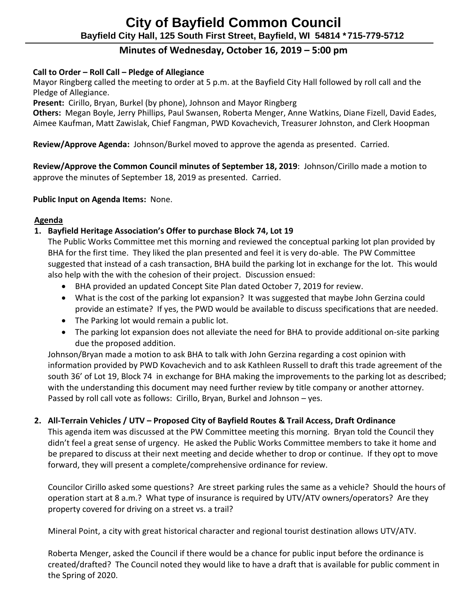# **Minutes of Wednesday, October 16, 2019 – 5:00 pm**

## **Call to Order – Roll Call – Pledge of Allegiance**

 Mayor Ringberg called the meeting to order at 5 p.m. at the Bayfield City Hall followed by roll call and the Pledge of Allegiance.

**Present:** Cirillo, Bryan, Burkel (by phone), Johnson and Mayor Ringberg

 **Others:** Megan Boyle, Jerry Phillips, Paul Swansen, Roberta Menger, Anne Watkins, Diane Fizell, David Eades, Aimee Kaufman, Matt Zawislak, Chief Fangman, PWD Kovachevich, Treasurer Johnston, and Clerk Hoopman

 **Review/Approve Agenda:** Johnson/Burkel moved to approve the agenda as presented. Carried.

 **Review/Approve the Common Council minutes of September 18, 2019**: Johnson/Cirillo made a motion to approve the minutes of September 18, 2019 as presented. Carried.

**Public Input on Agenda Items:** None.

## **Agenda**

## **1. Bayfield Heritage Association's Offer to purchase Block 74, Lot 19**

The Public Works Committee met this morning and reviewed the conceptual parking lot plan provided by BHA for the first time. They liked the plan presented and feel it is very do-able. The PW Committee suggested that instead of a cash transaction, BHA build the parking lot in exchange for the lot. This would also help with the with the cohesion of their project. Discussion ensued:

- BHA provided an updated Concept Site Plan dated October 7, 2019 for review.
- What is the cost of the parking lot expansion? It was suggested that maybe John Gerzina could provide an estimate? If yes, the PWD would be available to discuss specifications that are needed.
- The Parking lot would remain a public lot.
- The parking lot expansion does not alleviate the need for BHA to provide additional on-site parking due the proposed addition.

Johnson/Bryan made a motion to ask BHA to talk with John Gerzina regarding a cost opinion with information provided by PWD Kovachevich and to ask Kathleen Russell to draft this trade agreement of the south 36' of Lot 19, Block 74 in exchange for BHA making the improvements to the parking lot as described; with the understanding this document may need further review by title company or another attorney. Passed by roll call vote as follows: Cirillo, Bryan, Burkel and Johnson – yes.

## **2. All-Terrain Vehicles / UTV – Proposed City of Bayfield Routes & Trail Access, Draft Ordinance**

This agenda item was discussed at the PW Committee meeting this morning. Bryan told the Council they didn't feel a great sense of urgency. He asked the Public Works Committee members to take it home and be prepared to discuss at their next meeting and decide whether to drop or continue. If they opt to move forward, they will present a complete/comprehensive ordinance for review.

Councilor Cirillo asked some questions? Are street parking rules the same as a vehicle? Should the hours of operation start at 8 a.m.? What type of insurance is required by UTV/ATV owners/operators? Are they property covered for driving on a street vs. a trail?

Mineral Point, a city with great historical character and regional tourist destination allows UTV/ATV.

Roberta Menger, asked the Council if there would be a chance for public input before the ordinance is created/drafted? The Council noted they would like to have a draft that is available for public comment in the Spring of 2020.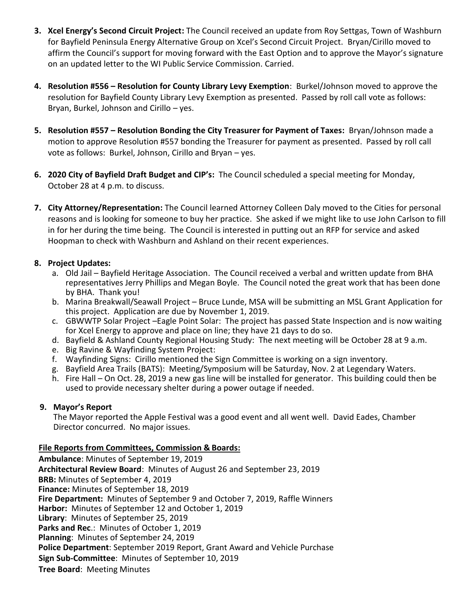- **3. Xcel Energy's Second Circuit Project:** The Council received an update from Roy Settgas, Town of Washburn for Bayfield Peninsula Energy Alternative Group on Xcel's Second Circuit Project. Bryan/Cirillo moved to affirm the Council's support for moving forward with the East Option and to approve the Mayor's signature on an updated letter to the WI Public Service Commission. Carried.
- **4. Resolution #556 – Resolution for County Library Levy Exemption**: Burkel/Johnson moved to approve the resolution for Bayfield County Library Levy Exemption as presented. Passed by roll call vote as follows: Bryan, Burkel, Johnson and Cirillo – yes.
- **5. Resolution #557 – Resolution Bonding the City Treasurer for Payment of Taxes:** Bryan/Johnson made a motion to approve Resolution #557 bonding the Treasurer for payment as presented. Passed by roll call vote as follows: Burkel, Johnson, Cirillo and Bryan – yes.
- **6. 2020 City of Bayfield Draft Budget and CIP's:** The Council scheduled a special meeting for Monday, October 28 at 4 p.m. to discuss.
- **7. City Attorney/Representation:** The Council learned Attorney Colleen Daly moved to the Cities for personal reasons and is looking for someone to buy her practice. She asked if we might like to use John Carlson to fill in for her during the time being. The Council is interested in putting out an RFP for service and asked Hoopman to check with Washburn and Ashland on their recent experiences.

#### **8. Project Updates:**

- a. Old Jail Bayfield Heritage Association. The Council received a verbal and written update from BHA representatives Jerry Phillips and Megan Boyle. The Council noted the great work that has been done by BHA. Thank you!
- b. Marina Breakwall/Seawall Project Bruce Lunde, MSA will be submitting an MSL Grant Application for this project. Application are due by November 1, 2019.
- c. GBWWTP Solar Project –Eagle Point Solar: The project has passed State Inspection and is now waiting for Xcel Energy to approve and place on line; they have 21 days to do so.
- d. Bayfield & Ashland County Regional Housing Study: The next meeting will be October 28 at 9 a.m.
- e. Big Ravine & Wayfinding System Project:
- f. Wayfinding Signs: Cirillo mentioned the Sign Committee is working on a sign inventory.
- g. Bayfield Area Trails (BATS): Meeting/Symposium will be Saturday, Nov. 2 at Legendary Waters.
- h. Fire Hall On Oct. 28, 2019 a new gas line will be installed for generator. This building could then be used to provide necessary shelter during a power outage if needed.

#### **9. Mayor's Report**

The Mayor reported the Apple Festival was a good event and all went well. David Eades, Chamber Director concurred. No major issues.

#### **File Reports from Committees, Commission & Boards:**

**Ambulance**: Minutes of September 19, 2019 **Architectural Review Board**: Minutes of August 26 and September 23, 2019 **BRB:** Minutes of September 4, 2019 **Finance:** Minutes of September 18, 2019 **Fire Department:** Minutes of September 9 and October 7, 2019, Raffle Winners **Harbor:** Minutes of September 12 and October 1, 2019 **Library**: Minutes of September 25, 2019 **Parks and Rec**.: Minutes of October 1, 2019 **Planning**: Minutes of September 24, 2019 **Police Department**: September 2019 Report, Grant Award and Vehicle Purchase **Sign Sub-Committee**: Minutes of September 10, 2019 **Tree Board**: Meeting Minutes